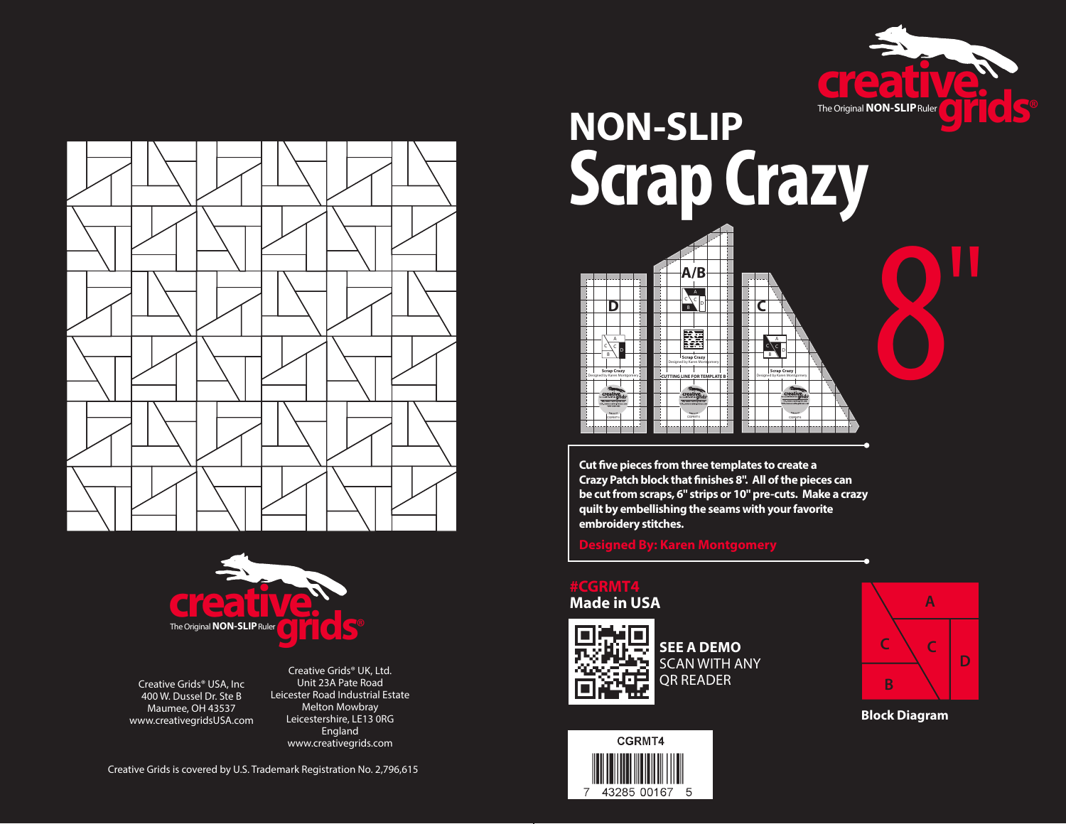





Creative Grids® USA, Inc 400 W. Dussel Dr. Ste B Maumee, OH 43537 www.creativegridsUSA.com

Creative Grids® UK, Ltd. Unit 23A Pate Road Leicester Road Industrial Estate Melton Mowbray Leicestershire, LE13 0RG England www.creativegrids.com

Creative Grids is covered by U.S. Trademark Registration No. 2,796,615

# **NON-SLIP Scrap Crazy A/B** 8

A B  $\leq$   $\leq$   $\circ$ **Scrap Crazy** Designed by Karen Montgomery

A  $\mathbb{C}$   $\sim$   $\sim$ 

**D C**

**CUTTING LINE FOR TEMPLATE B**

**Scrap Crazy** Designed by Karen Montgomery

CGRMT4

**Cut five pieces from three templates to create a Crazy Patch block that finishes 8". All of the pieces can be cut from scraps, 6" strips or 10" pre-cuts. Make a crazy quilt by embellishing the seams with your favorite embroidery stitches.**

**Designed By: Karen Montgomery**

#### **#CGRMT4 Made in USA**

A B  $\leq$   $\leq$   $\log$ 

**Scrap Crazy** Designed by Karen Montgomery

CGRMT4



**SEE A DEMO** SCAN WITH ANY QR READER





**Block Diagram**